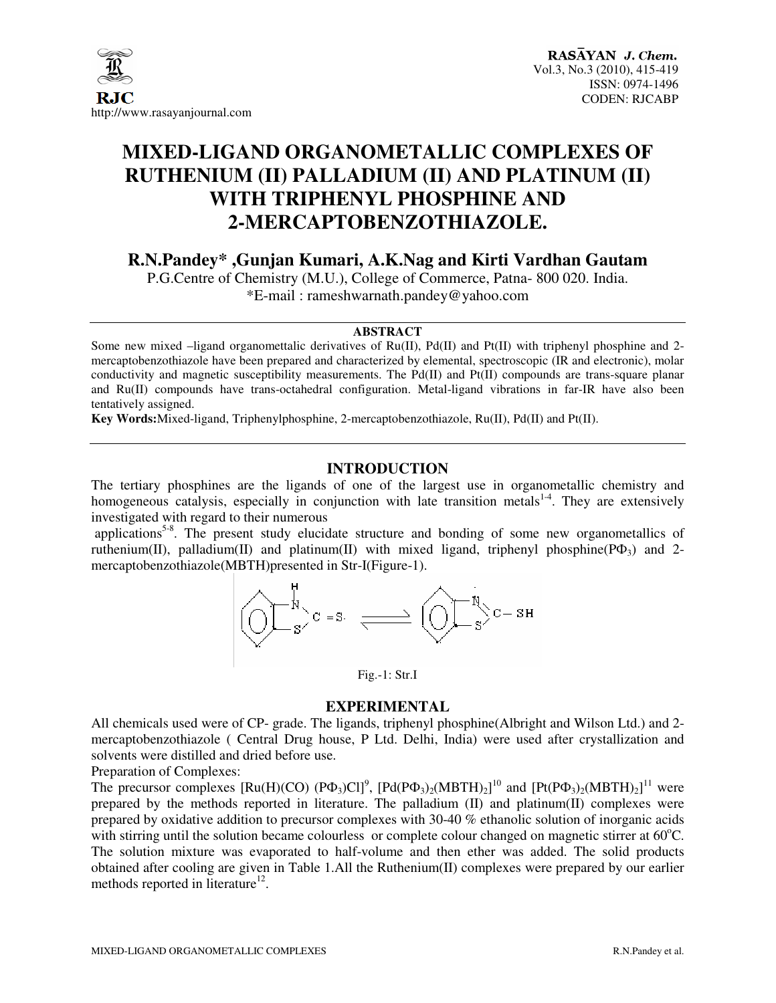

# **MIXED-LIGAND ORGANOMETALLIC COMPLEXES OF RUTHENIUM (II) PALLADIUM (II) AND PLATINUM (II) WITH TRIPHENYL PHOSPHINE AND 2-MERCAPTOBENZOTHIAZOLE.**

**R.N.Pandey\* ,Gunjan Kumari, A.K.Nag and Kirti Vardhan Gautam** 

P.G.Centre of Chemistry (M.U.), College of Commerce, Patna- 800 020. India. \*E-mail : rameshwarnath.pandey@yahoo.com

#### **ABSTRACT**

Some new mixed –ligand organomettalic derivatives of Ru(II), Pd(II) and Pt(II) with triphenyl phosphine and 2 mercaptobenzothiazole have been prepared and characterized by elemental, spectroscopic (IR and electronic), molar conductivity and magnetic susceptibility measurements. The Pd(II) and Pt(II) compounds are trans-square planar and Ru(II) compounds have trans-octahedral configuration. Metal-ligand vibrations in far-IR have also been tentatively assigned.

**Key Words:**Mixed-ligand, Triphenylphosphine, 2-mercaptobenzothiazole, Ru(II), Pd(II) and Pt(II).

# **INTRODUCTION**

The tertiary phosphines are the ligands of one of the largest use in organometallic chemistry and homogeneous catalysis, especially in conjunction with late transition metals $14$ . They are extensively investigated with regard to their numerous

applications<sup>5-8</sup>. The present study elucidate structure and bonding of some new organometallics of ruthenium(II), palladium(II) and platinum(II) with mixed ligand, triphenyl phosphine( $P\Phi_3$ ) and 2mercaptobenzothiazole(MBTH)presented in Str-I(Figure-1).



Fig.-1: Str.I

## **EXPERIMENTAL**

All chemicals used were of CP- grade. The ligands, triphenyl phosphine(Albright and Wilson Ltd.) and 2 mercaptobenzothiazole ( Central Drug house, P Ltd. Delhi, India) were used after crystallization and solvents were distilled and dried before use.

Preparation of Complexes:

The precursor complexes  $[Ru(H)(CO) (P\Phi_3)Cl]^9$ ,  $[Pd(P\Phi_3)_2(MBTH)_2]^{10}$  and  $[Pt(P\Phi_3)_2(MBTH)_2]^{11}$  were prepared by the methods reported in literature. The palladium  $(II)$  and platinum $(II)$  complexes were prepared by oxidative addition to precursor complexes with 30-40 % ethanolic solution of inorganic acids with stirring until the solution became colourless or complete colour changed on magnetic stirrer at  $60^{\circ}$ C. The solution mixture was evaporated to half-volume and then ether was added. The solid products obtained after cooling are given in Table 1.All the Ruthenium(II) complexes were prepared by our earlier methods reported in literature<sup>12</sup>.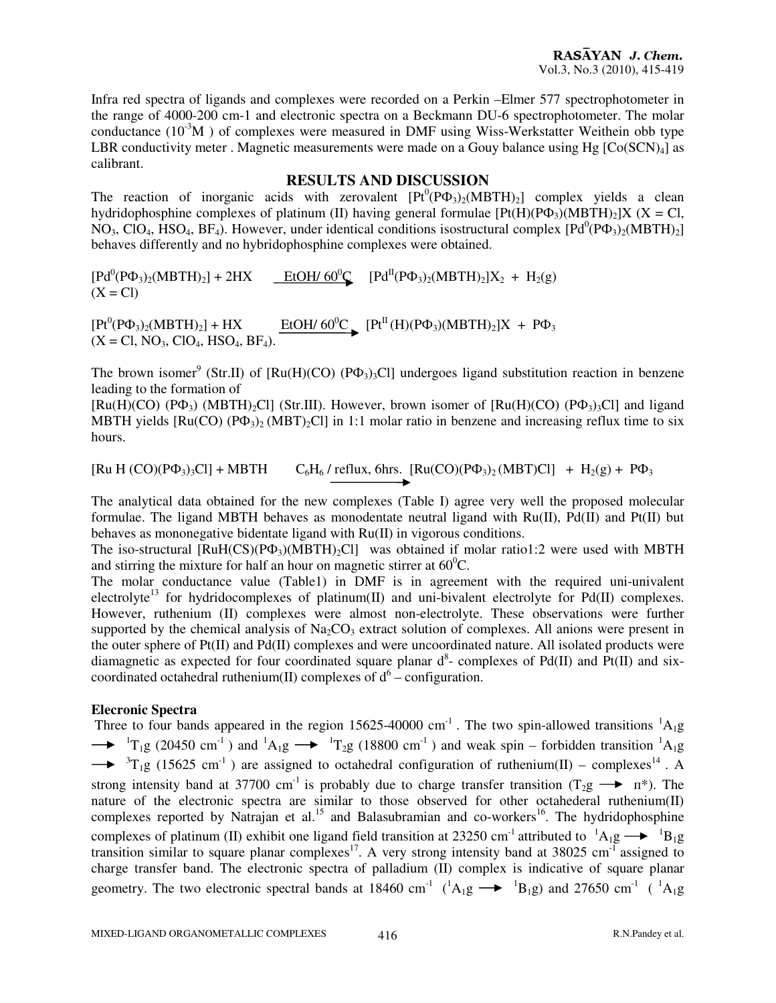Infra red spectra of ligands and complexes were recorded on a Perkin –Elmer 577 spectrophotometer in the range of 4000-200 cm-1 and electronic spectra on a Beckmann DU-6 spectrophotometer. The molar conductance  $(10^{-3}M)$  of complexes were measured in DMF using Wiss-Werkstatter Weithein obb type LBR conductivity meter . Magnetic measurements were made on a Gouy balance using Hg  $[Co(SCN)<sub>4</sub>]$  as calibrant.

## **RESULTS AND DISCUSSION**

The reaction of inorganic acids with zerovalent  $[Pt^{0}(P\Phi_{3})_{2}(MBTH)_{2}]$  complex yields a clean hydridophosphine complexes of platinum (II) having general formulae  $[Pt(H)(P\Phi_3)(MBTH)_2]X$  (X = Cl,  $NO_3$ , ClO<sub>4</sub>, HSO<sub>4</sub>, BF<sub>4</sub>). However, under identical conditions isostructural complex  $[Pd^0(P\Phi_3)_2(MBTH)_2]$ behaves differently and no hybridophosphine complexes were obtained.

 $[Pd^{0}(P\Phi_{3})_{2}(MBTH)_{2}] + 2HX$  $\underline{E}$ tOH/ 60<sup>0</sup>C [Pd<sup>II</sup>(P $\Phi_3$ )<sub>2</sub>(MBTH)<sub>2</sub>]X<sub>2</sub> + H<sub>2</sub>(g)  $(X = Cl)$ 

 $[Pt^{0}(P\Phi_{3})_{2}(MBTH)_{2}] + HX$  $\underline{EtOH/60^0C}$  [Pt<sup>II</sup>(H)(P $\Phi_3$ )(MBTH)<sub>2</sub>]X + P $\Phi_3$  $(X = Cl, NO<sub>3</sub>, ClO<sub>4</sub>, HSO<sub>4</sub>, BF<sub>4</sub>).$ 

The brown isomer<sup>9</sup> (Str.II) of  $[Ru(H)(CO)$  (P $\Phi_3$ )<sub>3</sub>Cl] undergoes ligand substitution reaction in benzene leading to the formation of

 $[Ru(H)(CO)$  (P $\Phi_3$ ) (MBTH)<sub>2</sub>Cl] (Str.III). However, brown isomer of  $[Ru(H)(CO)$  (P $\Phi_3$ )<sub>3</sub>Cl] and ligand MBTH yields  $[Ru(CO) (P\Phi_3)_{2} (MBT)_{2}$ Cl] in 1:1 molar ratio in benzene and increasing reflux time to six hours.

 $[Ru H (CO)(P\Phi_3)_3Cl] + MBTH$   $C_6H_6$  / reflux, 6hrs.  $[Ru(CO)(P\Phi_3)_2(MBT)Cl] + H_2(g) + P\Phi_3$ 

The analytical data obtained for the new complexes (Table I) agree very well the proposed molecular formulae. The ligand MBTH behaves as monodentate neutral ligand with  $Ru(II)$ ,  $Pd(II)$  and  $Pt(II)$  but behaves as mononegative bidentate ligand with Ru(II) in vigorous conditions.

The iso-structural  $[RuH(CS)(P\Phi_3)(MBTH)_2Cl]$  was obtained if molar ratio1:2 were used with MBTH and stirring the mixture for half an hour on magnetic stirrer at  $60^{\circ}$ C.

The molar conductance value (Table1) in DMF is in agreement with the required uni-univalent electrolyte<sup>13</sup> for hydridocomplexes of platinum(II) and uni-bivalent electrolyte for Pd(II) complexes. However, ruthenium (II) complexes were almost non-electrolyte. These observations were further supported by the chemical analysis of  $Na<sub>2</sub>CO<sub>3</sub>$  extract solution of complexes. All anions were present in the outer sphere of  $Pt(II)$  and  $Pd(II)$  complexes and were uncoordinated nature. All isolated products were diamagnetic as expected for four coordinated square planar  $d^8$ - complexes of Pd(II) and Pt(II) and sixcoordinated octahedral ruthenium(II) complexes of  $d^6$  – configuration.

## **Elecronic Spectra**

Three to four bands appeared in the region 15625-40000 cm<sup>-1</sup>. The two spin-allowed transitions  ${}^{1}A_{1}g$  $\rightarrow$   ${}^{1}T_{1}g$  (20450 cm<sup>-1</sup>) and  ${}^{1}A_{1}g \rightarrow {}^{1}T_{2}g$  (18800 cm<sup>-1</sup>) and weak spin – forbidden transition  ${}^{1}A_{1}g$  $\rightarrow$ <sup>3</sup>T<sub>1</sub>g (15625 cm<sup>-1</sup>) are assigned to octahedral configuration of ruthenium(II) – complexes<sup>14</sup>. A strong intensity band at 37700 cm<sup>-1</sup> is probably due to charge transfer transition (T<sub>2</sub>g  $\rightarrow \pi^*$ ). The nature of the electronic spectra are similar to those observed for other octahederal ruthenium(II) complexes reported by Natrajan et al.<sup>15</sup> and Balasubramian and co-workers<sup>16</sup>. The hydridophosphine complexes of platinum (II) exhibit one ligand field transition at 23250 cm<sup>-1</sup> attributed to  ${}^{1}A_{1}g \rightarrow {}^{1}B_{1}g$ transition similar to square planar complexes<sup>17</sup>. A very strong intensity band at 38025 cm<sup>-1</sup> assigned to charge transfer band. The electronic spectra of palladium (II) complex is indicative of square planar geometry. The two electronic spectral bands at 18460 cm<sup>-1</sup> ( ${}^{1}A_{1}g \rightarrow {}^{1}B_{1}g$ ) and 27650 cm<sup>-1</sup> ( ${}^{1}A_{1}g$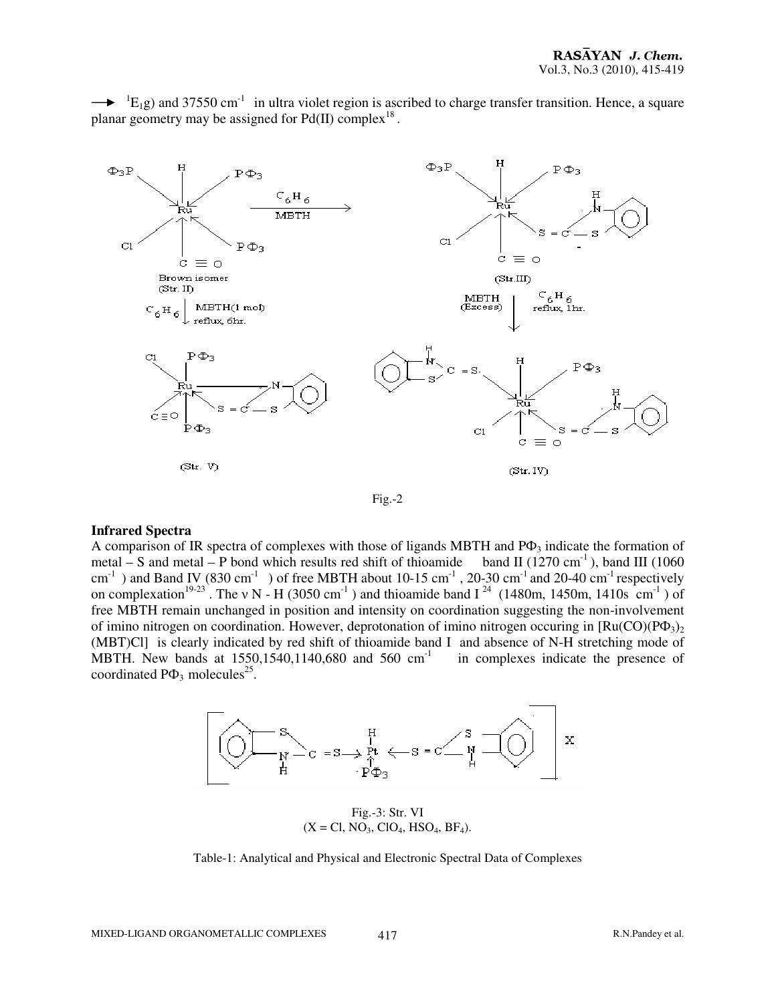



#### **Infrared Spectra**

A comparison of IR spectra of complexes with those of ligands MBTH and  $P\Phi_3$  indicate the formation of metal – S and metal – P bond which results red shift of thioamide band II (1270 cm<sup>-1</sup>), band III (1060  $cm^{-1}$ ) and Band IV (830 cm<sup>-1</sup>) of free MBTH about 10-15 cm<sup>-1</sup>, 20-30 cm<sup>-1</sup> and 20-40 cm<sup>-1</sup> respectively on complexation<sup>19-23</sup>. The v N - H (3050 cm<sup>-1</sup>) and thioamide band I<sup>24</sup> (1480m, 1450m, 1410s cm<sup>-1</sup>) of free MBTH remain unchanged in position and intensity on coordination suggesting the non-involvement of imino nitrogen on coordination. However, deprotonation of imino nitrogen occuring in  $\text{Ru(CO)}\text{P}\Phi_{3})_2$ (MBT)Cl] is clearly indicated by red shift of thioamide band I and absence of N-H stretching mode of MBTH. New bands at  $1550, 1540, 1140, 680$  and  $560 \text{ cm}^{-1}$  in complexes indicate the presence of MBTH. New bands at  $1550.1540.1140.680$  and  $560 \text{ cm}^{-1}$ coordinated  $P\Phi_3$  molecules<sup>25</sup>.



Fig.-3: Str. VI  $(X = CI, NO<sub>3</sub>, ClO<sub>4</sub>, HSO<sub>4</sub>, BF<sub>4</sub>).$ 

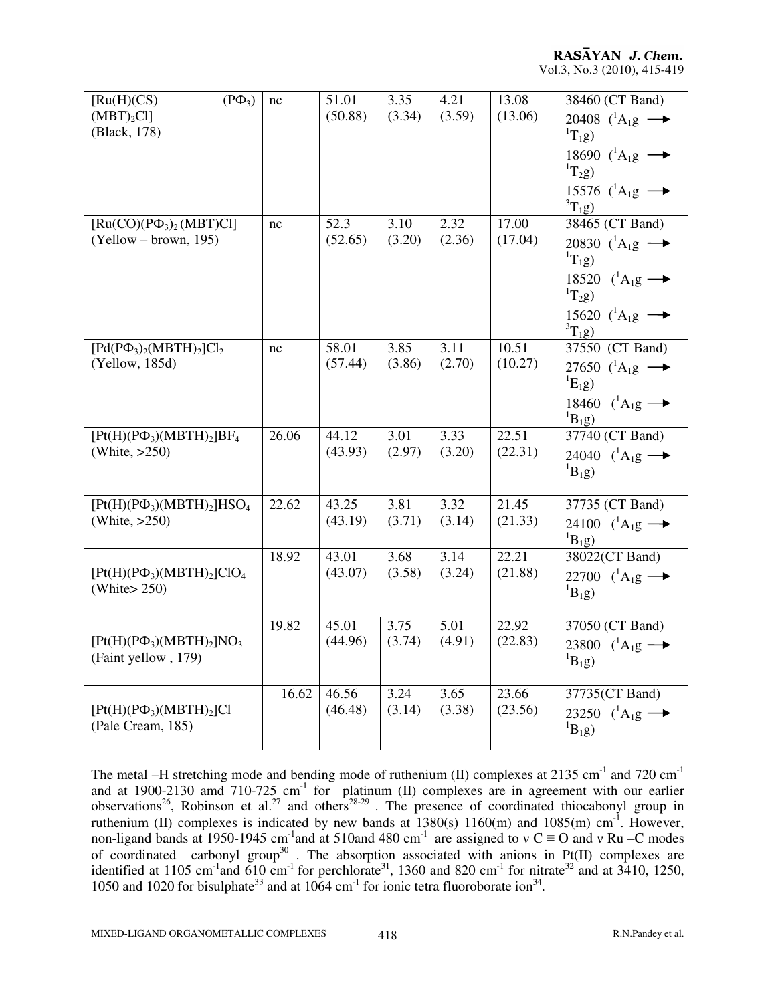RASAYAN J. Chem. Vol.3, No.3 (2010), 415-419

| $(P\Phi_3)$<br>[Ru(H)(CS)]<br>$(MBT)_2Cl$<br>(Black, 178) | nc    | 51.01<br>(50.88) | 3.35<br>(3.34) | 4.21<br>(3.59) | 13.08<br>(13.06) | 38460 (CT Band)<br>20408 $(^1A_1g \rightarrow$<br>${}^{1}T_{1}g$ )<br>18690 $(^1A_1g \rightarrow$<br>${}^{1}T_{2}g$ )<br>15576 $(^1A_1g \rightarrow$<br>${}^{3}T_{1}g$ ) |
|-----------------------------------------------------------|-------|------------------|----------------|----------------|------------------|--------------------------------------------------------------------------------------------------------------------------------------------------------------------------|
| $[Ru(CO)(P\Phi_3)_2(MBT)Cl]$<br>$(Yellow - brown, 195)$   | nc    | 52.3<br>(52.65)  | 3.10<br>(3.20) | 2.32<br>(2.36) | 17.00<br>(17.04) | 38465 (CT Band)<br>20830 $(^1A_1g \rightarrow$<br>${}^{1}T_{1}g$ )<br>18520 $(^1A_1g \rightarrow$<br>$T_2g$ )<br>15620 $(^1A_1g \rightarrow$<br>${}^{3}T_{1}g$ )         |
| $[Pd(P\Phi_3)_2(MBTH)_2]Cl_2$<br>(Yellow, 185d)           | nc    | 58.01<br>(57.44) | 3.85<br>(3.86) | 3.11<br>(2.70) | 10.51<br>(10.27) | 37550 (CT Band)<br>27650 $(^1A_1g \rightarrow$<br>${}^{1}E_{1}g$<br>18460 $(^1A_1g \rightarrow$<br>${}^{1}B_{1}g$ )                                                      |
| $[Pt(H)(P\Phi_3)(MBTH)_2]BF_4$<br>(White, $>250$ )        | 26.06 | 44.12<br>(43.93) | 3.01<br>(2.97) | 3.33<br>(3.20) | 22.51<br>(22.31) | 37740 (CT Band)<br>24040 $(^1A_1g \rightarrow$<br>${}^{1}B_{1}g$ )                                                                                                       |
| $[Pt(H)(P\Phi_3)(MBTH)_2]HSO_4$<br>(White, $>250$ )       | 22.62 | 43.25<br>(43.19) | 3.81<br>(3.71) | 3.32<br>(3.14) | 21.45<br>(21.33) | 37735 (CT Band)<br>24100 $(^1A_1g \rightarrow$<br>${}^{1}B_1g$ )                                                                                                         |
| $[Pt(H)(P\Phi_3)(MBTH)_2]ClO_4$<br>(White $250$ )         | 18.92 | 43.01<br>(43.07) | 3.68<br>(3.58) | 3.14<br>(3.24) | 22.21<br>(21.88) | 38022(CT Band)<br>22700 $(^1A_1g \rightarrow$<br>${}^{1}B_{1}g$ )                                                                                                        |
| $[Pt(H)(P\Phi_3)(MBTH)_2]NO_3$<br>(Faint yellow, 179)     | 19.82 | 45.01<br>(44.96) | 3.75<br>(3.74) | 5.01<br>(4.91) | 22.92<br>(22.83) | 37050 (CT Band)<br>23800 $(^1A_1g \rightarrow$<br>$B_1g$                                                                                                                 |
| $[Pt(H)(P\Phi_3)(MBTH)_2]Cl$<br>(Pale Cream, 185)         | 16.62 | 46.56<br>(46.48) | 3.24<br>(3.14) | 3.65<br>(3.38) | 23.66<br>(23.56) | 37735(CT Band)<br>23250 $(^1A_1g \rightarrow$<br>${}^{1}B_{1}g$ )                                                                                                        |

The metal –H stretching mode and bending mode of ruthenium (II) complexes at 2135 cm<sup>-1</sup> and 720 cm<sup>-1</sup> and at 1900-2130 amd  $710-725$  cm<sup>-1</sup> for platinum (II) complexes are in agreement with our earlier observations<sup>26</sup>, Robinson et al.<sup>27</sup> and others<sup>28-29</sup>. The presence of coordinated thiocabonyl group in ruthenium (II) complexes is indicated by new bands at  $1380(s)$  1160(m) and  $1085(m)$  cm<sup>-1</sup>. However, non-ligand bands at 1950-1945 cm<sup>-1</sup> and at 510and 480 cm<sup>-1</sup> are assigned to  $v C = O$  and v Ru –C modes of coordinated carbonyl group<sup>30</sup>. The absorption associated with anions in Pt(II) complexes are identified at 1105 cm<sup>-1</sup>and 610 cm<sup>-1</sup> for perchlorate<sup>31</sup>, 1360 and 820 cm<sup>-1</sup> for nitrate<sup>32</sup> and at 3410, 1250, 1050 and 1020 for bisulphate<sup>33</sup> and at 1064 cm<sup>-1</sup> for ionic tetra fluoroborate ion<sup>34</sup>.